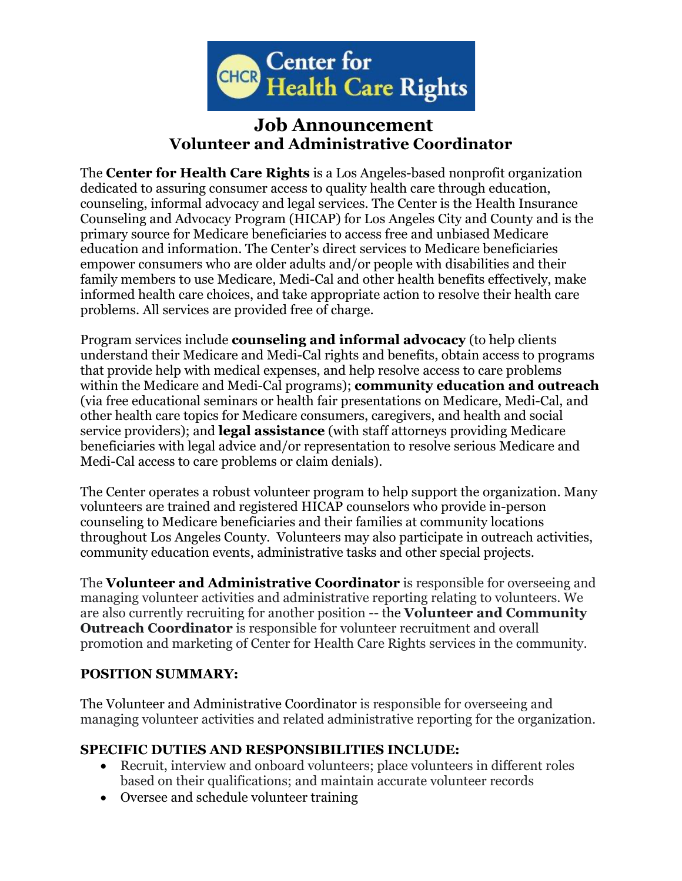

# **Job Announcement Volunteer and Administrative Coordinator**

The **Center for Health Care Rights** is a Los Angeles-based nonprofit organization dedicated to assuring consumer access to quality health care through education, counseling, informal advocacy and legal services. The Center is the Health Insurance Counseling and Advocacy Program (HICAP) for Los Angeles City and County and is the primary source for Medicare beneficiaries to access free and unbiased Medicare education and information. The Center's direct services to Medicare beneficiaries empower consumers who are older adults and/or people with disabilities and their family members to use Medicare, Medi-Cal and other health benefits effectively, make informed health care choices, and take appropriate action to resolve their health care problems. All services are provided free of charge.

Program services include **counseling and informal advocacy** (to help clients understand their Medicare and Medi-Cal rights and benefits, obtain access to programs that provide help with medical expenses, and help resolve access to care problems within the Medicare and Medi-Cal programs); **community education and outreach** (via free educational seminars or health fair presentations on Medicare, Medi-Cal, and other health care topics for Medicare consumers, caregivers, and health and social service providers); and **legal assistance** (with staff attorneys providing Medicare beneficiaries with legal advice and/or representation to resolve serious Medicare and Medi-Cal access to care problems or claim denials).

The Center operates a robust volunteer program to help support the organization. Many volunteers are trained and registered HICAP counselors who provide in-person counseling to Medicare beneficiaries and their families at community locations throughout Los Angeles County. Volunteers may also participate in outreach activities, community education events, administrative tasks and other special projects.

The **Volunteer and Administrative Coordinator** is responsible for overseeing and managing volunteer activities and administrative reporting relating to volunteers. We are also currently recruiting for another position -- the **Volunteer and Community Outreach Coordinator** is responsible for volunteer recruitment and overall promotion and marketing of Center for Health Care Rights services in the community.

### **POSITION SUMMARY:**

The Volunteer and Administrative Coordinator is responsible for overseeing and managing volunteer activities and related administrative reporting for the organization.

### **SPECIFIC DUTIES AND RESPONSIBILITIES INCLUDE:**

- Recruit, interview and onboard volunteers; place volunteers in different roles based on their qualifications; and maintain accurate volunteer records
- Oversee and schedule volunteer training